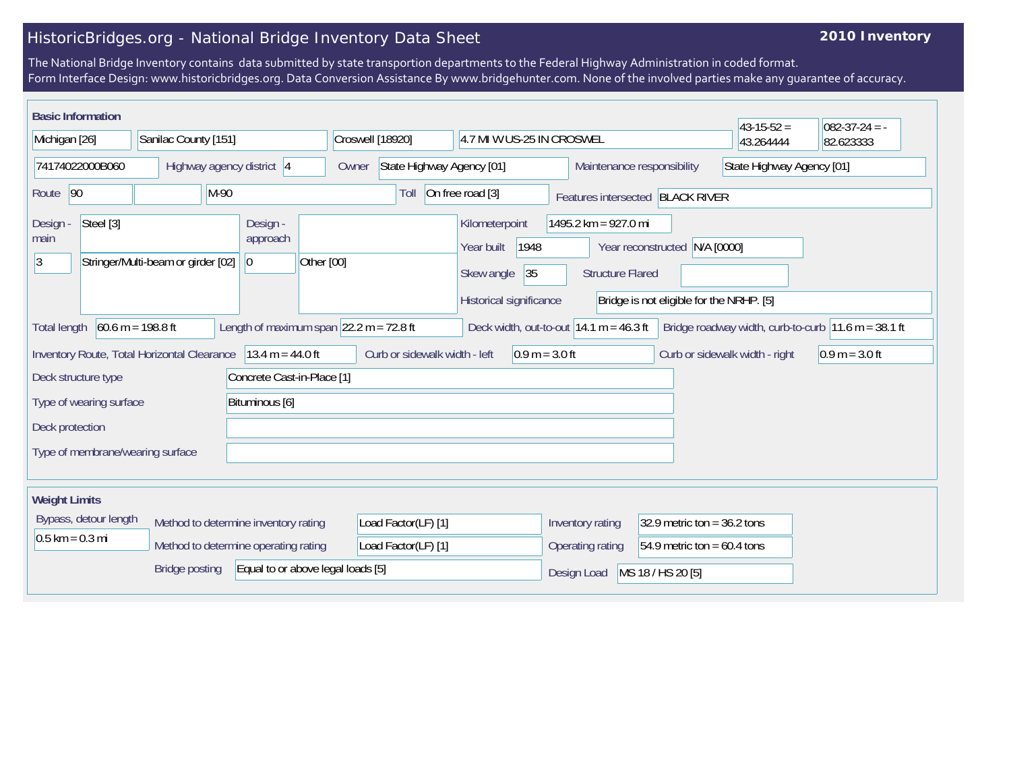## HistoricBridges.org - National Bridge Inventory Data Sheet

## **2010 Inventory**

The National Bridge Inventory contains data submitted by state transportion departments to the Federal Highway Administration in coded format. Form Interface Design: www.historicbridges.org. Data Conversion Assistance By www.bridgehunter.com. None of the involved parties make any guarantee of accuracy.

| <b>Basic Information</b>                                                                                                                                                                                        |  |                            |                |                     |                                                                                     |                                                 |                                                                |                               | $43 - 15 - 52 =$               | $ 082-37-24 = -$          |  |
|-----------------------------------------------------------------------------------------------------------------------------------------------------------------------------------------------------------------|--|----------------------------|----------------|---------------------|-------------------------------------------------------------------------------------|-------------------------------------------------|----------------------------------------------------------------|-------------------------------|--------------------------------|---------------------------|--|
| Michigan [26]                                                                                                                                                                                                   |  | Sanilac County [151]       |                |                     | Croswell [18920]                                                                    |                                                 | 4.7 MI W US-25 IN CROSWEL                                      |                               | 43.264444                      | 82.623333                 |  |
| 74174022000B060                                                                                                                                                                                                 |  | Highway agency district 4  |                | Owner               | State Highway Agency [01]                                                           |                                                 | Maintenance responsibility                                     |                               |                                | State Highway Agency [01] |  |
| $M-90$<br>Route 90                                                                                                                                                                                              |  |                            |                | Toll                | On free road [3]                                                                    |                                                 | Features intersected BLACK RIVER                               |                               |                                |                           |  |
| Steel [3]<br>Design -<br>main<br>Stringer/Multi-beam or girder [02]<br>13                                                                                                                                       |  | Design -<br>approach<br> 0 | Other [00]     |                     | Kilometerpoint<br>1948<br>Year built<br>35<br>Skew angle<br>Historical significance | 1495.2 km = 927.0 mi<br><b>Structure Flared</b> | Year reconstructed<br>Bridge is not eligible for the NRHP. [5] | N/A [0000]                    |                                |                           |  |
| Length of maximum span $ 22.2 \text{ m} = 72.8 \text{ ft} $<br>$60.6 m = 198.8 ft$<br>Bridge roadway width, curb-to-curb $11.6$ m = 38.1 ft<br>Deck width, out-to-out $14.1 m = 46.3 ft$<br><b>Total length</b> |  |                            |                |                     |                                                                                     |                                                 |                                                                |                               |                                |                           |  |
| $13.4 m = 44.0 ft$<br>Inventory Route, Total Horizontal Clearance                                                                                                                                               |  |                            |                |                     | Curb or sidewalk width - left                                                       |                                                 | $0.9 m = 3.0 ft$                                               |                               | Curb or sidewalk width - right | $0.9 m = 3.0 ft$          |  |
| Concrete Cast-in-Place [1]<br>Deck structure type                                                                                                                                                               |  |                            |                |                     |                                                                                     |                                                 |                                                                |                               |                                |                           |  |
| Type of wearing surface                                                                                                                                                                                         |  |                            | Bituminous [6] |                     |                                                                                     |                                                 |                                                                |                               |                                |                           |  |
| Deck protection                                                                                                                                                                                                 |  |                            |                |                     |                                                                                     |                                                 |                                                                |                               |                                |                           |  |
| Type of membrane/wearing surface                                                                                                                                                                                |  |                            |                |                     |                                                                                     |                                                 |                                                                |                               |                                |                           |  |
| <b>Weight Limits</b>                                                                                                                                                                                            |  |                            |                |                     |                                                                                     |                                                 |                                                                |                               |                                |                           |  |
| Bypass, detour length<br>Method to determine inventory rating                                                                                                                                                   |  |                            |                |                     | Load Factor(LF) [1]                                                                 |                                                 | Inventory rating                                               | 32.9 metric ton = $36.2$ tons |                                |                           |  |
| $0.5$ km = 0.3 mi<br>Method to determine operating rating                                                                                                                                                       |  |                            |                | Load Factor(LF) [1] |                                                                                     | Operating rating                                | 54.9 metric ton = $60.4$ tons                                  |                               |                                |                           |  |
| Equal to or above legal loads [5]<br><b>Bridge posting</b>                                                                                                                                                      |  |                            |                |                     |                                                                                     | Design Load                                     | MS 18 / HS 20 [5]                                              |                               |                                |                           |  |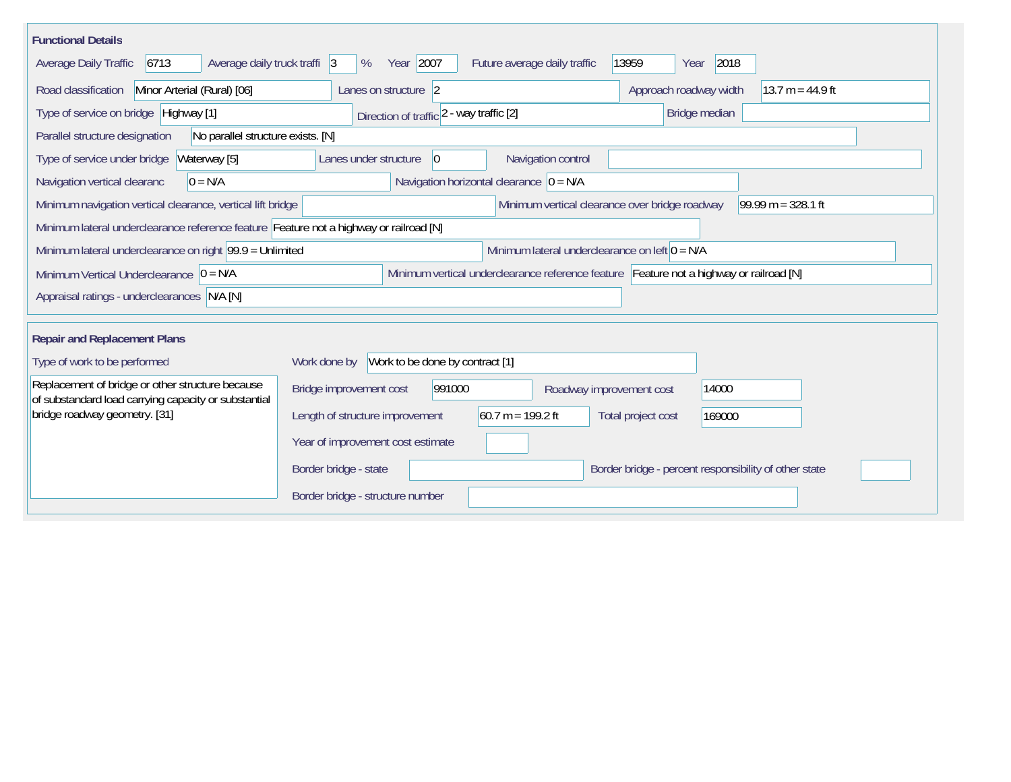| <b>Functional Details</b>                                                                                                             |                                                                                        |  |  |  |  |  |  |
|---------------------------------------------------------------------------------------------------------------------------------------|----------------------------------------------------------------------------------------|--|--|--|--|--|--|
| 6713 <br>Average daily truck traffi 3<br>Average Daily Traffic                                                                        | Year 2007<br>2018<br>13959<br>Future average daily traffic<br>%<br>Year                |  |  |  |  |  |  |
| Minor Arterial (Rural) [06]<br>Road classification                                                                                    | $13.7 m = 44.9 ft$<br>Approach roadway width<br>Lanes on structure 2                   |  |  |  |  |  |  |
| Type of service on bridge Highway [1]                                                                                                 | Bridge median<br>Direction of traffic 2 - way traffic [2]                              |  |  |  |  |  |  |
| No parallel structure exists. [N]<br>Parallel structure designation                                                                   |                                                                                        |  |  |  |  |  |  |
| Waterway [5]<br>Type of service under bridge                                                                                          | 0 <br>Navigation control<br>Lanes under structure                                      |  |  |  |  |  |  |
| Navigation vertical clearanc<br>$0 = N/A$                                                                                             | Navigation horizontal clearance $ 0 = N/A $                                            |  |  |  |  |  |  |
| Minimum navigation vertical clearance, vertical lift bridge                                                                           | Minimum vertical clearance over bridge roadway<br>$99.99 m = 328.1 ft$                 |  |  |  |  |  |  |
| Minimum lateral underclearance reference feature Feature not a highway or railroad [N]                                                |                                                                                        |  |  |  |  |  |  |
| Minimum lateral underclearance on right 99.9 = Unlimited<br>Minimum lateral underclearance on left $0 = N/A$                          |                                                                                        |  |  |  |  |  |  |
| Minimum vertical underclearance reference feature Feature not a highway or railroad [N]<br>Minimum Vertical Underclearance $ 0 = N/A$ |                                                                                        |  |  |  |  |  |  |
| Appraisal ratings - underclearances N/A [N]                                                                                           |                                                                                        |  |  |  |  |  |  |
|                                                                                                                                       |                                                                                        |  |  |  |  |  |  |
| <b>Repair and Replacement Plans</b>                                                                                                   |                                                                                        |  |  |  |  |  |  |
| Type of work to be performed                                                                                                          | Work to be done by contract [1]<br>Work done by                                        |  |  |  |  |  |  |
| Replacement of bridge or other structure because<br>of substandard load carrying capacity or substantial                              | 991000<br>14000<br>Bridge improvement cost<br>Roadway improvement cost                 |  |  |  |  |  |  |
| bridge roadway geometry. [31]                                                                                                         | $60.7 m = 199.2 ft$<br>Length of structure improvement<br>Total project cost<br>169000 |  |  |  |  |  |  |
|                                                                                                                                       | Year of improvement cost estimate                                                      |  |  |  |  |  |  |
|                                                                                                                                       | Border bridge - state<br>Border bridge - percent responsibility of other state         |  |  |  |  |  |  |
|                                                                                                                                       | Border bridge - structure number                                                       |  |  |  |  |  |  |